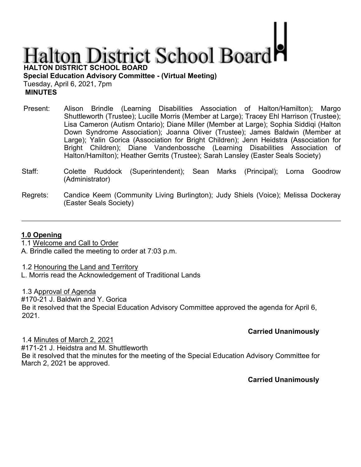# **Halton District School Board**

**HALTON DISTRICT SCHOOL BOARD** 

**Special Education Advisory Committee - (Virtual Meeting)**  Tuesday, April 6, 2021, 7pm  **MINUTES** 

- Present: Alison Brindle (Learning Disabilities Association of Halton/Hamilton); Margo Shuttleworth (Trustee); Lucille Morris (Member at Large); Tracey Ehl Harrison (Trustee); Lisa Cameron (Autism Ontario); Diane Miller (Member at Large); Sophia Siddiqi (Halton Down Syndrome Association); Joanna Oliver (Trustee); James Baldwin (Member at Large); Yalin Gorica (Association for Bright Children); Jenn Heidstra (Association for Bright Children); Diane Vandenbossche (Learning Disabilities Association of Halton/Hamilton); Heather Gerrits (Trustee); Sarah Lansley (Easter Seals Society)
- Staff: Colette Ruddock (Superintendent); Sean Marks (Principal); Lorna Goodrow (Administrator)
- Regrets: Candice Keem (Community Living Burlington); Judy Shiels (Voice); Melissa Dockeray (Easter Seals Society)

### **1.0 Opening**

1.1 Welcome and Call to Order

A. Brindle called the meeting to order at 7:03 p.m.

1.2 Honouring the Land and Territory

L. Morris read the Acknowledgement of Traditional Lands

1.3 Approval of Agenda

#170-21 J. Baldwin and Y. Gorica

Be it resolved that the Special Education Advisory Committee approved the agenda for April 6, 2021.

## **Carried Unanimously**

#171-21 J. Heidstra and M. Shuttleworth Be it resolved that the minutes for the meeting of the Special Education Advisory Committee for March 2, 2021 be approved.

**Carried Unanimously** 

1.4 Minutes of March 2, 2021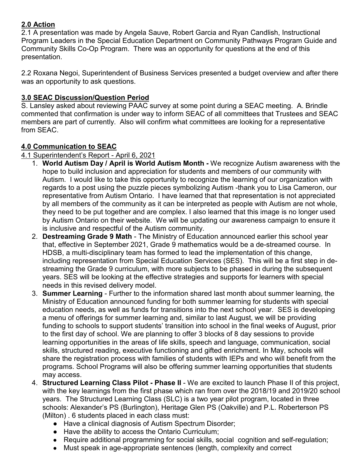# **2.0 Action**

2.1 A presentation was made by Angela Sauve, Robert Garcia and Ryan Candlish, Instructional Program Leaders in the Special Education Department on Community Pathways Program Guide and Community Skills Co-Op Program. There was an opportunity for questions at the end of this presentation.

2.2 Roxana Negoi, Superintendent of Business Services presented a budget overview and after there was an opportunity to ask questions.

# **3.0 SEAC Discussion/Question Period**

S. Lansley asked about reviewing PAAC survey at some point during a SEAC meeting. A. Brindle commented that confirmation is under way to inform SEAC of all committees that Trustees and SEAC members are part of currently. Also will confirm what committees are looking for a representative from SEAC.

# **4.0 Communication to SEAC**

# 4.1 Superintendent's Report - April 6, 2021

- 1. **World Autism Day / April is World Autism Month -** We recognize Autism awareness with the hope to build inclusion and appreciation for students and members of our community with Autism. I would like to take this opportunity to recognize the learning of our organization with regards to a post using the puzzle pieces symbolizing Autism -thank you to Lisa Cameron, our representative from Autism Ontario. I have learned that that representation is not appreciated by all members of the community as it can be interpreted as people with Autism are not whole, they need to be put together and are complex. I also learned that this image is no longer used by Autism Ontario on their website. We will be updating our awareness campaign to ensure it is inclusive and respectful of the Autism community.
- 2. **Destreaming Grade 9 Math** The Ministry of Education announced earlier this school year that, effective in September 2021, Grade 9 mathematics would be a de-streamed course. In HDSB, a multi-disciplinary team has formed to lead the implementation of this change, including representation from Special Education Services (SES). This will be a first step in destreaming the Grade 9 curriculum, with more subjects to be phased in during the subsequent years. SES will be looking at the effective strategies and supports for learners with special needs in this revised delivery model.
- 3. **Summer Learning** Further to the information shared last month about summer learning, the Ministry of Education announced funding for both summer learning for students with special education needs, as well as funds for transitions into the next school year. SES is developing a menu of offerings for summer learning and, similar to last August, we will be providing funding to schools to support students' transition into school in the final weeks of August, prior to the first day of school. We are planning to offer 3 blocks of 8 day sessions to provide learning opportunities in the areas of life skills, speech and language, communication, social skills, structured reading, executive functioning and gifted enrichment. In May, schools will share the registration process with families of students with IEPs and who will benefit from the programs. School Programs will also be offering summer learning opportunities that students may access.
- 4. **Structured Learning Class Pilot - Phase II** We are excited to launch Phase II of this project, with the key learnings from the first phase which ran from over the 2018/19 and 2019/20 school years. The Structured Learning Class (SLC) is a two year pilot program, located in three schools: Alexander's PS (Burlington), Heritage Glen PS (Oakville) and P.L. Roberterson PS (Milton) . 6 students placed in each class must:
	- Have a clinical diagnosis of Autism Spectrum Disorder;
	- Have the ability to access the Ontario Curriculum;
	- Require additional programming for social skills, social cognition and self-regulation;
	- Must speak in age-appropriate sentences (length, complexity and correct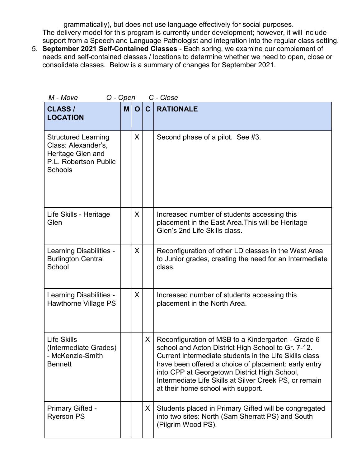grammatically), but does not use language effectively for social purposes. The delivery model for this program is currently under development; however, it will include support from a Speech and Language Pathologist and integration into the regular class setting.

5. **September 2021 Self-Contained Classes** - Each spring, we examine our complement of needs and self-contained classes / locations to determine whether we need to open, close or consolidate classes. Below is a summary of changes for September 2021.

| M - Move<br>O - Open<br>C - Close                                                                                 |   |              |              |                                                                                                                                                                                                                                                                                                                                                                            |  |  |  |
|-------------------------------------------------------------------------------------------------------------------|---|--------------|--------------|----------------------------------------------------------------------------------------------------------------------------------------------------------------------------------------------------------------------------------------------------------------------------------------------------------------------------------------------------------------------------|--|--|--|
| <b>CLASS /</b><br><b>LOCATION</b>                                                                                 | M | $\mathbf{O}$ | $\mathbf{C}$ | <b>RATIONALE</b>                                                                                                                                                                                                                                                                                                                                                           |  |  |  |
| <b>Structured Learning</b><br>Class: Alexander's,<br>Heritage Glen and<br>P.L. Robertson Public<br><b>Schools</b> |   | X            |              | Second phase of a pilot. See #3.                                                                                                                                                                                                                                                                                                                                           |  |  |  |
| Life Skills - Heritage<br>Glen                                                                                    |   | X            |              | Increased number of students accessing this<br>placement in the East Area. This will be Heritage<br>Glen's 2nd Life Skills class.                                                                                                                                                                                                                                          |  |  |  |
| Learning Disabilities -<br><b>Burlington Central</b><br>School                                                    |   | X            |              | Reconfiguration of other LD classes in the West Area<br>to Junior grades, creating the need for an Intermediate<br>class.                                                                                                                                                                                                                                                  |  |  |  |
| Learning Disabilities -<br>Hawthorne Village PS                                                                   |   | X            |              | Increased number of students accessing this<br>placement in the North Area.                                                                                                                                                                                                                                                                                                |  |  |  |
| <b>Life Skills</b><br>(Intermediate Grades)<br>- McKenzie-Smith<br><b>Bennett</b>                                 |   |              | X.           | Reconfiguration of MSB to a Kindergarten - Grade 6<br>school and Acton District High School to Gr. 7-12.<br>Current intermediate students in the Life Skills class<br>have been offered a choice of placement: early entry<br>into CPP at Georgetown District High School,<br>Intermediate Life Skills at Silver Creek PS, or remain<br>at their home school with support. |  |  |  |
| Primary Gifted -<br><b>Ryerson PS</b>                                                                             |   |              | X.           | Students placed in Primary Gifted will be congregated<br>into two sites: North (Sam Sherratt PS) and South<br>(Pilgrim Wood PS).                                                                                                                                                                                                                                           |  |  |  |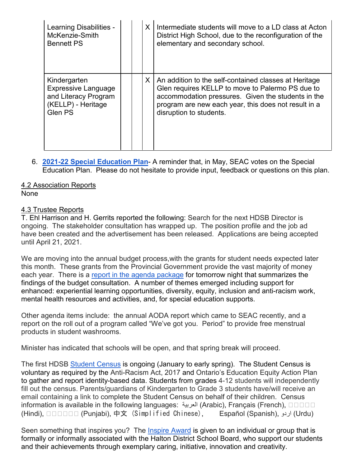| Learning Disabilities -<br>McKenzie-Smith<br><b>Bennett PS</b>                                      |  | X | Intermediate students will move to a LD class at Acton<br>District High School, due to the reconfiguration of the<br>elementary and secondary school.                                                                                              |
|-----------------------------------------------------------------------------------------------------|--|---|----------------------------------------------------------------------------------------------------------------------------------------------------------------------------------------------------------------------------------------------------|
| Kindergarten<br><b>Expressive Language</b><br>and Literacy Program<br>(KELLP) - Heritage<br>Glen PS |  | X | An addition to the self-contained classes at Heritage<br>Glen requires KELLP to move to Palermo PS due to<br>accommodation pressures. Given the students in the<br>program are new each year, this does not result in a<br>disruption to students. |

6. **[2021-22 Special Education Plan](https://docs.google.com/document/d/1Ke9QJ2VIoiCrJJeLhSdn2dkfCsuOmImbOIg2kvjBH-A/edit)**- A reminder that, in May, SEAC votes on the Special Education Plan. Please do not hesitate to provide input, feedback or questions on this plan.

# 4.2 Association Reports

## None

# 4.3 Trustee Reports

T. Ehl Harrison and H. Gerrits reported the following: Search for the next HDSB Director is ongoing. The stakeholder consultation has wrapped up. The position profile and the job ad have been created and the advertisement has been released. Applications are being accepted until April 21, 2021.

We are moving into the annual budget process,with the grants for student needs expected later this month. These grants from the Provincial Government provide the vast majority of money each year. There is a [report in the agenda package](https://drive.google.com/file/d/1Ywn1XiLhzoMl2UuZrHGgnciVma0MWi4L/view) for tomorrow night that summarizes the findings of the budget consultation. A number of themes emerged including support for enhanced: experiential learning opportunities, diversity, equity, inclusion and anti-racism work, mental health resources and activities, and, for special education supports.

Other agenda items include: the annual AODA report which came to SEAC recently, and a report on the roll out of a program called "We've got you. Period" to provide free menstrual products in student washrooms.

Minister has indicated that schools will be open, and that spring break will proceed.

The first HDSB [Student Census](https://www.hdsb.ca/our-board/Pages/HDSB-Student-Census.aspx) is ongoing (January to early spring). The Student Census is voluntary as required by the [Anti-Racism Act,](https://www.ontario.ca/laws/statute/17a15) 2017 an[d](http://www.edu.gov.on.ca/eng/about/education_equity_plan_en.pdf) [Ontario's Education Equity Action Plan](http://www.edu.gov.on.ca/eng/about/education_equity_plan_en.pdf) to gather and report identity-based data. Students from grades 4-12 students will independently fill out the census. Parents/guardians of Kindergarten to Grade 3 students have/will receive an email containing a link to complete the Student Census on behalf of their children. Census information is available in the following languages: [العربیة](https://www.hdsb.ca/our-board/PublishingImages/Pages/Student-Census/Student-Census-Feb-2021-Letter-Arabic.pdf)[\)](https://www.hdsb.ca/our-board/PublishingImages/Pages/Student-Census/Student-Census-Feb-2021-Letter-Arabic.pdf) [Arabic\),](https://www.hdsb.ca/our-board/PublishingImages/Pages/Student-Census/Student-Census-Feb-2021-Letter-Arabic.pdf) [Français \(French\)](https://www.hdsb.ca/our-board/PublishingImages/Pages/Student-Census/Student-Census-Feb-2021-Letter-French.pdf)[,](https://www.hdsb.ca/our-board/PublishingImages/Pages/Student-Census/Student-Census-Feb-2021-Letter-Hindi.pdf) [�����](https://www.hdsb.ca/our-board/PublishingImages/Pages/Student-Census/Student-Census-Feb-2021-Letter-Hindi.pdf) [\(Hindi\),](https://www.hdsb.ca/our-board/PublishingImages/Pages/Student-Census/Student-Census-Feb-2021-Letter-Hindi.pdf) [������](https://www.hdsb.ca/our-board/PublishingImages/Pages/Student-Census/Student-Census-Feb-2021-Letter-Punjabi.pdf) (Punjabi)[,](https://www.hdsb.ca/our-board/PublishingImages/Pages/Student-Census/Student-Census-Feb-2021-Letter-Chinese.pdf) 中文 [\(Simplified Chinese\)](https://www.hdsb.ca/our-board/PublishingImages/Pages/Student-Census/Student-Census-Feb-2021-Letter-Chinese.pdf), [Español \(Spanish\)](https://www.hdsb.ca/our-board/PublishingImages/Pages/Student-Census/Student-Census-Feb-2021-Letter-Spanish.pdf)[,](https://www.hdsb.ca/our-board/PublishingImages/Pages/Student-Census/Student-Census-Feb-2021-Letter-Urdu.pdf) [اردو](https://www.hdsb.ca/our-board/PublishingImages/Pages/Student-Census/Student-Census-Feb-2021-Letter-Urdu.pdf)[\)](https://www.hdsb.ca/our-board/PublishingImages/Pages/Student-Census/Student-Census-Feb-2021-Letter-Urdu.pdf) [Urdu\)](https://www.hdsb.ca/our-board/PublishingImages/Pages/Student-Census/Student-Census-Feb-2021-Letter-Urdu.pdf) 

S[e](https://www.hdsb.ca/our-board/Pages/Board%20of%20Trustees/Inspire-Awards.aspx)en something that inspires you? The *[Inspire Award](https://www.hdsb.ca/our-board/Pages/Board%20of%20Trustees/Inspire-Awards.aspx)* is given to an individual or group that is formally or informally associated with the Halton District School Board, who support our students and their achievements through exemplary caring, initiative, innovation and creativity.